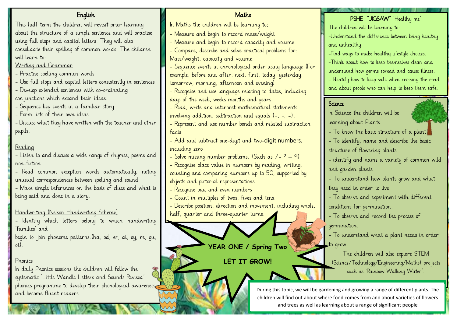| <b>English</b>                                                                                                  | Maths                                                                             | PSHE "JIGSAW" 'Healthy me'                                                           |
|-----------------------------------------------------------------------------------------------------------------|-----------------------------------------------------------------------------------|--------------------------------------------------------------------------------------|
| This half term the children will revisit prior learning                                                         | In Maths the children will be learning to;                                        | The children will be learning to:                                                    |
| about the structure of a simple sentence and will practise                                                      | - Measure and begin to record mass/weight                                         | -Understand the difference between being healthy                                     |
| using full stops and capital letters. They will also                                                            | - Measure and begin to record capacity and volume.                                | and unhealthy.                                                                       |
| consolidate their spelling of common words. The children                                                        | - Compare, describe and solve practical problems for:                             | -Find ways to make healthy lifestyle choices.                                        |
| will learn to:                                                                                                  | Mass/weight, capacity and volume.                                                 |                                                                                      |
| Writing and Grammar                                                                                             | - Sequence events in chronological order using language (For                      | -Think about how to keep themselves clean and                                        |
| - Practise spelling common words                                                                                | example, before and after, next, first, today, yesterday,                         | understand how germs spread and cause illness.                                       |
| - Use full stops and capital letters consistently in sentences                                                  | tomorrow, morning, afternoon and evening)                                         | - Identify how to keep safe when crossing the road                                   |
| - Develop extended sentences with co-ordinating                                                                 | - Recognise and use language relating to dates, including                         | and about people who can help to keep them safe.                                     |
| con junctions which expand their ideas.                                                                         | days of the week, weeks months and years.                                         | Science                                                                              |
| - Sequence key events in a familiar story                                                                       | - Read, write and interpret mathematical statements                               |                                                                                      |
| - Form lists of their own ideas                                                                                 | involving addition, subtraction and equals $(+, -, =)$ .                          | In Science the children will be                                                      |
| - Discuss what they have written with the teacher and other                                                     | - Represent and use number bonds and related subtraction                          | learning about Plants.                                                               |
| pupils.                                                                                                         | facts                                                                             | - To know the basic structure of a plant.                                            |
|                                                                                                                 | - Add and subtract one-digit and two-digit numbers,                               | - To identify, name and describe the basic                                           |
| Reading                                                                                                         | including zero                                                                    | structure of flowering plants                                                        |
| - Listen to and discuss a wide range of rhymes, poems and                                                       | - Solve missing number problems. (Such as $7 = ? - 9$ )                           | - identify and name a variety of common wild                                         |
| non-fiction.                                                                                                    | - Recognise place value in numbers by reading, writing,                           | and garden plants                                                                    |
| - Read common exception words automatically, noting                                                             | counting and comparing numbers up to 50, supported by                             |                                                                                      |
| unusual correspondences between spelling and sound                                                              | ob jects and pictorial representations                                            | - To understand how plants grow and what                                             |
| - Make simple inferences on the basis of clues and what is                                                      | - Recognise odd and even numbers                                                  | they need in order to live.                                                          |
| being said and done in a story.                                                                                 | - Count in multiples of twos, fives and tens.                                     | - To observe and experiment with different                                           |
|                                                                                                                 | - Describe position, direction and movement, including whole,                     | conditions for germination.                                                          |
| Handwriting (Nelson Handwriting Scheme)                                                                         | half, quarter and three-quarter turns.                                            | - To observe and record the process of                                               |
| - Identify which letters belong to which handwriting                                                            |                                                                                   | germination.                                                                         |
| `families' and                                                                                                  |                                                                                   | - To understand what a plant needs in order                                          |
| begin to join phoneme patterns. (ha, od, er, ai, oy, re, gu,                                                    |                                                                                   |                                                                                      |
|                                                                                                                 | YEAR ONE / Spring Two                                                             | to grow.                                                                             |
| Phonics                                                                                                         |                                                                                   | The children will also explore STEM                                                  |
|                                                                                                                 | LET IT GROW!                                                                      | (Science/Technology/Engineering/Maths) projects                                      |
| In daily Phonics sessions the children will follow the<br>systematic 'Little Wandle Letters and Sounds Revised' |                                                                                   | such as 'Rainbow Walking Water'.                                                     |
| phonics programme to develop their phonological awareness                                                       |                                                                                   |                                                                                      |
| and become fluent readers.                                                                                      |                                                                                   | During this topic, we will be gardening and growing a range of different plants. The |
|                                                                                                                 | children will find out about where food comes from and about varieties of flowers |                                                                                      |

**Mys.** 

and trees as well as learning about a range of significant people